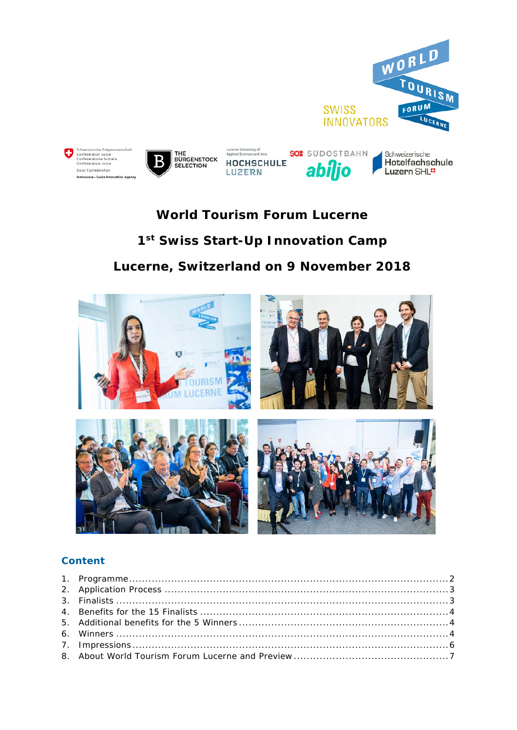

# **World Tourism Forum Lucerne** 1st Swiss Start-Up Innovation Camp Lucerne, Switzerland on 9 November 2018



## **Content**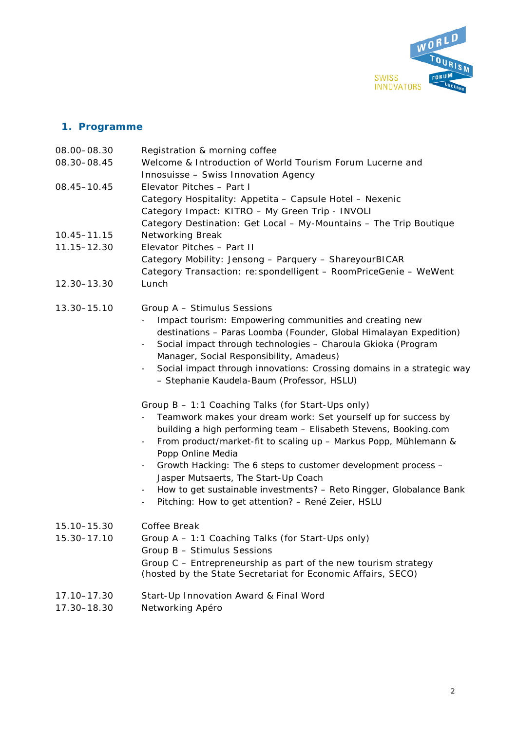

## <span id="page-1-0"></span>**1. Programme**

| 08.00-08.30<br>08.30-08.45 | Registration & morning coffee<br>Welcome & Introduction of World Tourism Forum Lucerne and<br>Innosuisse - Swiss Innovation Agency                                                                                                                                                                                                                                                                                                                                                                                                                                                                                                                                                                                                                                                                                                                                                                                                                                                                                                                                      |
|----------------------------|-------------------------------------------------------------------------------------------------------------------------------------------------------------------------------------------------------------------------------------------------------------------------------------------------------------------------------------------------------------------------------------------------------------------------------------------------------------------------------------------------------------------------------------------------------------------------------------------------------------------------------------------------------------------------------------------------------------------------------------------------------------------------------------------------------------------------------------------------------------------------------------------------------------------------------------------------------------------------------------------------------------------------------------------------------------------------|
| 08.45-10.45                | Elevator Pitches - Part I<br>Category Hospitality: Appetita - Capsule Hotel - Nexenic<br>Category Impact: KITRO - My Green Trip - INVOLI<br>Category Destination: Get Local - My-Mountains - The Trip Boutique                                                                                                                                                                                                                                                                                                                                                                                                                                                                                                                                                                                                                                                                                                                                                                                                                                                          |
| 10.45-11.15                | Networking Break                                                                                                                                                                                                                                                                                                                                                                                                                                                                                                                                                                                                                                                                                                                                                                                                                                                                                                                                                                                                                                                        |
| 11.15-12.30                | Elevator Pitches - Part II<br>Category Mobility: Jensong - Parquery - ShareyourBICAR<br>Category Transaction: re: spondelligent - RoomPriceGenie - WeWent                                                                                                                                                                                                                                                                                                                                                                                                                                                                                                                                                                                                                                                                                                                                                                                                                                                                                                               |
| 12.30-13.30                | Lunch                                                                                                                                                                                                                                                                                                                                                                                                                                                                                                                                                                                                                                                                                                                                                                                                                                                                                                                                                                                                                                                                   |
| 13.30-15.10                | Group A - Stimulus Sessions<br>Impact tourism: Empowering communities and creating new<br>destinations - Paras Loomba (Founder, Global Himalayan Expedition)<br>Social impact through technologies - Charoula Gkioka (Program<br>Manager, Social Responsibility, Amadeus)<br>Social impact through innovations: Crossing domains in a strategic way<br>$\overline{\phantom{a}}$<br>- Stephanie Kaudela-Baum (Professor, HSLU)<br>Group B - 1:1 Coaching Talks (for Start-Ups only)<br>Teamwork makes your dream work: Set yourself up for success by<br>building a high performing team - Elisabeth Stevens, Booking.com<br>From product/market-fit to scaling up - Markus Popp, Mühlemann &<br>$\overline{\phantom{0}}$<br>Popp Online Media<br>Growth Hacking: The 6 steps to customer development process -<br>$\overline{\phantom{a}}$<br>Jasper Mutsaerts, The Start-Up Coach<br>How to get sustainable investments? - Reto Ringger, Globalance Bank<br>$\overline{\phantom{a}}$<br>Pitching: How to get attention? - René Zeier, HSLU<br>$\overline{\phantom{a}}$ |
| 15.10-15.30<br>15.30-17.10 | Coffee Break<br>Group A - 1:1 Coaching Talks (for Start-Ups only)                                                                                                                                                                                                                                                                                                                                                                                                                                                                                                                                                                                                                                                                                                                                                                                                                                                                                                                                                                                                       |
|                            | Group B - Stimulus Sessions<br>Group C - Entrepreneurship as part of the new tourism strategy<br>(hosted by the State Secretariat for Economic Affairs, SECO)                                                                                                                                                                                                                                                                                                                                                                                                                                                                                                                                                                                                                                                                                                                                                                                                                                                                                                           |
| 17.10-17.30                | Start-Up Innovation Award & Final Word                                                                                                                                                                                                                                                                                                                                                                                                                                                                                                                                                                                                                                                                                                                                                                                                                                                                                                                                                                                                                                  |

17.30–18.30 Networking Apéro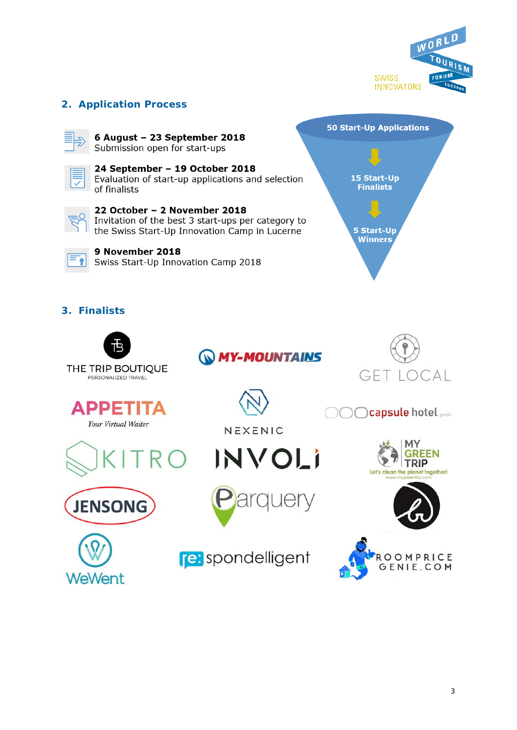

## <span id="page-2-0"></span>**2. Application Process**

6 August - 23 September 2018 Submission open for start-ups



24 September - 19 October 2018 Evaluation of start-up applications and selection of finalists

22 October - 2 November 2018 Invitation of the best 3 start-ups per category to the Swiss Start-Up Innovation Camp in Lucerne



9 November 2018 Swiss Start-Up Innovation Camp 2018



## <span id="page-2-1"></span>**3. Finalists**







**Capsule hotel** 





NEXENIC











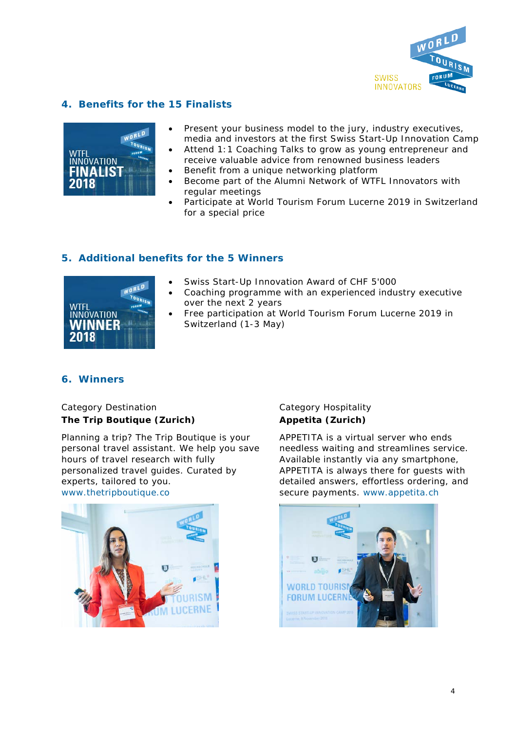

## <span id="page-3-0"></span>**4. Benefits for the 15 Finalists**

|                         | WORLD          |
|-------------------------|----------------|
| wtfl<br>INNOVATION      | <b>TOURIEW</b> |
| <b>FINALIST</b><br>2018 |                |

- Present your business model to the jury, industry executives, media and investors at the first Swiss Start-Up Innovation Camp
- Attend 1:1 Coaching Talks to grow as young entrepreneur and receive valuable advice from renowned business leaders
- Benefit from a unique networking platform
- Become part of the Alumni Network of WTFL Innovators with regular meetings
- Participate at World Tourism Forum Lucerne 2019 in Switzerland for a special price

#### <span id="page-3-1"></span>**5. Additional benefits for the 5 Winners**



- Swiss Start-Up Innovation Award of CHF 5'000
	- Coaching programme with an experienced industry executive over the next 2 years
	- Free participation at World Tourism Forum Lucerne 2019 in Switzerland (1-3 May)

#### <span id="page-3-2"></span>**6. Winners**

#### Category Destination **The Trip Boutique (Zurich)**

Planning a trip? The Trip Boutique is your personal travel assistant. We help you save hours of travel research with fully personalized travel guides. Curated by experts, tailored to you. [www.thetripboutique.co](http://www.thetripboutique.co/)



#### Category Hospitality **Appetita (Zurich)**

APPETITA is a virtual server who ends needless waiting and streamlines service. Available instantly via any smartphone, APPETITA is always there for guests with detailed answers, effortless ordering, and secure payments. [www.appetita.ch](http://www.appetita.ch/)

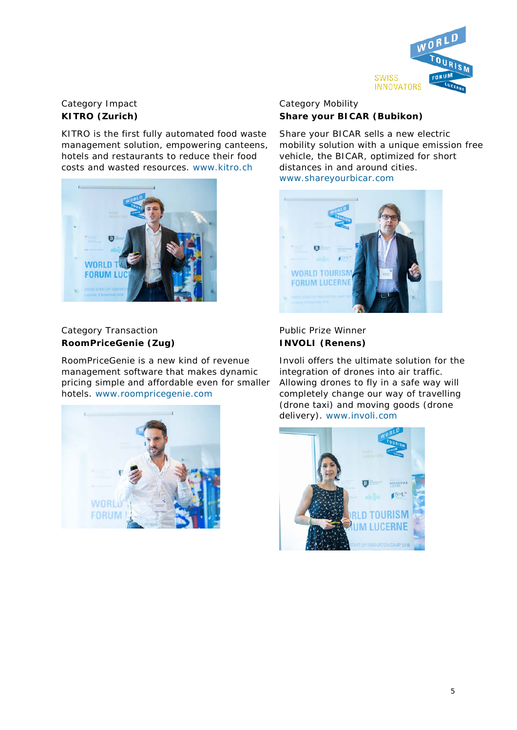

## Category Impact **KITRO (Zurich)**

KITRO is the first fully automated food waste management solution, empowering canteens, hotels and restaurants to reduce their food costs and wasted resources. [www.kitro.ch](http://www.kitro.ch/)



## Category Transaction **RoomPriceGenie (Zug)**

RoomPriceGenie is a new kind of revenue management software that makes dynamic pricing simple and affordable even for smaller hotels. [www.roompricegenie.com](http://www.roompricegenie.com/)



## Category Mobility **Share your BICAR (Bubikon)**

Share your BICAR sells a new electric mobility solution with a unique emission free vehicle, the BICAR, optimized for short distances in and around cities. [www.shareyourbicar.com](http://www.shareyourbicar.com/)



## Public Prize Winner **INVOLI (Renens)**

Involi offers the ultimate solution for the integration of drones into air traffic. Allowing drones to fly in a safe way will completely change our way of travelling (drone taxi) and moving goods (drone delivery). [www.involi.com](http://www.involi.com/)

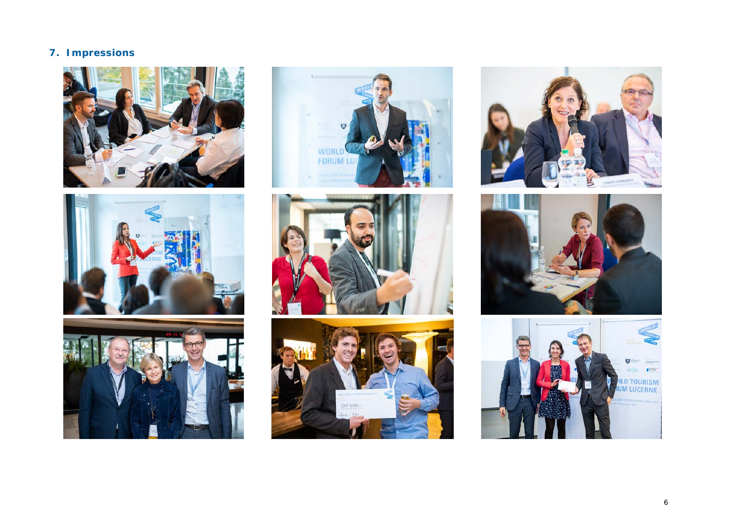# **7. Impressions**



<span id="page-5-0"></span>